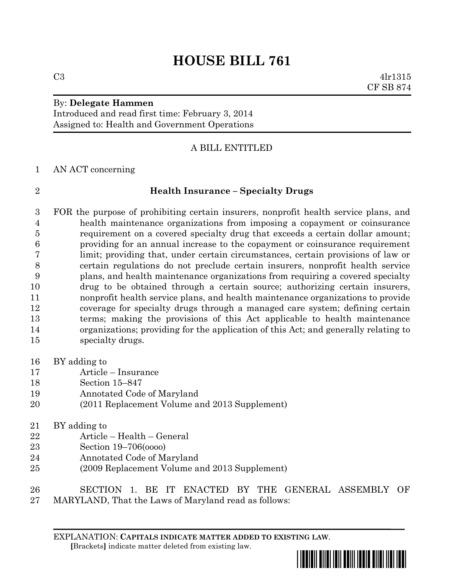# **HOUSE BILL 761**

## By: **Delegate Hammen**

Introduced and read first time: February 3, 2014 Assigned to: Health and Government Operations

### A BILL ENTITLED

AN ACT concerning

#### **Health Insurance – Specialty Drugs**

 FOR the purpose of prohibiting certain insurers, nonprofit health service plans, and health maintenance organizations from imposing a copayment or coinsurance requirement on a covered specialty drug that exceeds a certain dollar amount; providing for an annual increase to the copayment or coinsurance requirement limit; providing that, under certain circumstances, certain provisions of law or certain regulations do not preclude certain insurers, nonprofit health service plans, and health maintenance organizations from requiring a covered specialty drug to be obtained through a certain source; authorizing certain insurers, nonprofit health service plans, and health maintenance organizations to provide coverage for specialty drugs through a managed care system; defining certain terms; making the provisions of this Act applicable to health maintenance organizations; providing for the application of this Act; and generally relating to specialty drugs.

- BY adding to
- Article Insurance
- Section 15–847
- Annotated Code of Maryland
- (2011 Replacement Volume and 2013 Supplement)
- BY adding to
- Article Health General
- Section 19–706(oooo)
- Annotated Code of Maryland
- (2009 Replacement Volume and 2013 Supplement)
- SECTION 1. BE IT ENACTED BY THE GENERAL ASSEMBLY OF MARYLAND, That the Laws of Maryland read as follows:

EXPLANATION: **CAPITALS INDICATE MATTER ADDED TO EXISTING LAW**.  **[**Brackets**]** indicate matter deleted from existing law.



 $C3 \t 4lr1315$ CF SB 874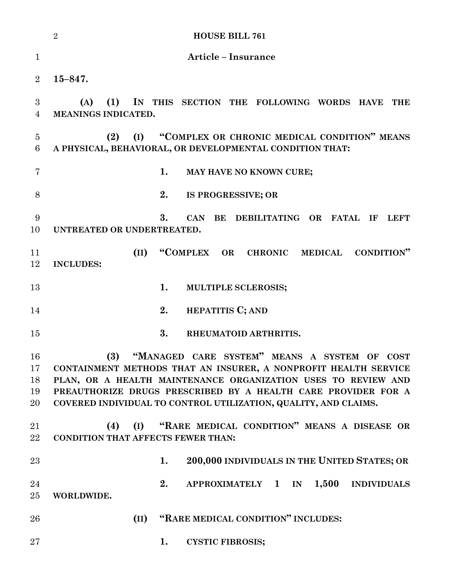|                            | <b>HOUSE BILL 761</b><br>$\overline{2}$                                                                                                                                                                                                                                                                                     |
|----------------------------|-----------------------------------------------------------------------------------------------------------------------------------------------------------------------------------------------------------------------------------------------------------------------------------------------------------------------------|
| $\mathbf{1}$               | <b>Article - Insurance</b>                                                                                                                                                                                                                                                                                                  |
| $\overline{2}$             | $15 - 847.$                                                                                                                                                                                                                                                                                                                 |
| 3<br>4                     | IN THIS SECTION THE FOLLOWING WORDS HAVE<br>(A)<br>(1)<br>THE<br>MEANINGS INDICATED.                                                                                                                                                                                                                                        |
| $\overline{5}$<br>6        | "COMPLEX OR CHRONIC MEDICAL CONDITION" MEANS<br>(2)<br>(I)<br>A PHYSICAL, BEHAVIORAL, OR DEVELOPMENTAL CONDITION THAT:                                                                                                                                                                                                      |
| 7                          | 1.<br>MAY HAVE NO KNOWN CURE;                                                                                                                                                                                                                                                                                               |
| 8                          | 2.<br>IS PROGRESSIVE; OR                                                                                                                                                                                                                                                                                                    |
| 9<br>10                    | 3.<br>CAN<br>BE<br>DEBILITATING OR FATAL IF<br><b>LEFT</b><br>UNTREATED OR UNDERTREATED.                                                                                                                                                                                                                                    |
| 11<br>12                   | "COMPLEX OR<br>CHRONIC MEDICAL<br>(II)<br><b>CONDITION</b> "<br><b>INCLUDES:</b>                                                                                                                                                                                                                                            |
| 13                         | 1.<br>MULTIPLE SCLEROSIS;                                                                                                                                                                                                                                                                                                   |
| 14                         | 2.<br><b>HEPATITIS C; AND</b>                                                                                                                                                                                                                                                                                               |
| 15                         | 3.<br>RHEUMATOID ARTHRITIS.                                                                                                                                                                                                                                                                                                 |
| 16<br>17<br>18<br>19<br>20 | (3)<br>"MANAGED CARE SYSTEM" MEANS A SYSTEM OF COST<br>CONTAINMENT METHODS THAT AN INSURER, A NONPROFIT HEALTH SERVICE<br>PLAN, OR A HEALTH MAINTENANCE ORGANIZATION USES TO REVIEW AND<br>PREAUTHORIZE DRUGS PRESCRIBED BY A HEALTH CARE PROVIDER FOR A<br>COVERED INDIVIDUAL TO CONTROL UTILIZATION, QUALITY, AND CLAIMS. |
| 21<br>$22\,$               | "RARE MEDICAL CONDITION" MEANS A DISEASE OR<br>(4)<br>(I)<br><b>CONDITION THAT AFFECTS FEWER THAN:</b>                                                                                                                                                                                                                      |
| 23                         | 200,000 INDIVIDUALS IN THE UNITED STATES; OR<br>1.                                                                                                                                                                                                                                                                          |
| 24<br>25                   | 2.<br>APPROXIMATELY 1 IN 1,500<br><b>INDIVIDUALS</b><br>WORLDWIDE.                                                                                                                                                                                                                                                          |
| 26                         | "RARE MEDICAL CONDITION" INCLUDES:<br>(II)                                                                                                                                                                                                                                                                                  |
| $27\,$                     | 1.<br><b>CYSTIC FIBROSIS;</b>                                                                                                                                                                                                                                                                                               |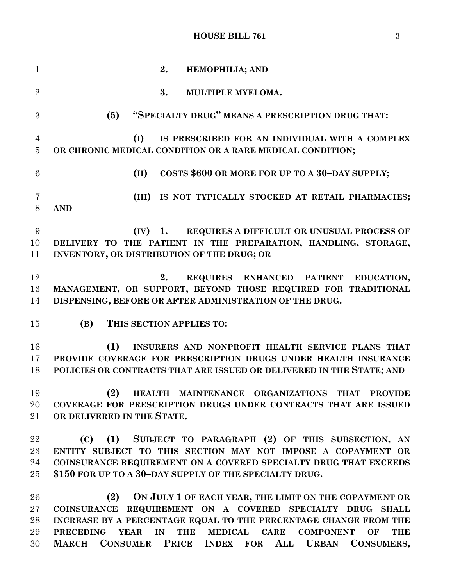#### **HOUSE BILL 761** 3

 **2. HEMOPHILIA; AND 3. MULTIPLE MYELOMA. (5) "SPECIALTY DRUG" MEANS A PRESCRIPTION DRUG THAT: (I) IS PRESCRIBED FOR AN INDIVIDUAL WITH A COMPLEX OR CHRONIC MEDICAL CONDITION OR A RARE MEDICAL CONDITION; (II) COSTS \$600 OR MORE FOR UP TO A 30–DAY SUPPLY; (III) IS NOT TYPICALLY STOCKED AT RETAIL PHARMACIES; AND (IV) 1. REQUIRES A DIFFICULT OR UNUSUAL PROCESS OF DELIVERY TO THE PATIENT IN THE PREPARATION, HANDLING, STORAGE, INVENTORY, OR DISTRIBUTION OF THE DRUG; OR 2. REQUIRES ENHANCED PATIENT EDUCATION, MANAGEMENT, OR SUPPORT, BEYOND THOSE REQUIRED FOR TRADITIONAL DISPENSING, BEFORE OR AFTER ADMINISTRATION OF THE DRUG. (B) THIS SECTION APPLIES TO: (1) INSURERS AND NONPROFIT HEALTH SERVICE PLANS THAT PROVIDE COVERAGE FOR PRESCRIPTION DRUGS UNDER HEALTH INSURANCE POLICIES OR CONTRACTS THAT ARE ISSUED OR DELIVERED IN THE STATE; AND (2) HEALTH MAINTENANCE ORGANIZATIONS THAT PROVIDE COVERAGE FOR PRESCRIPTION DRUGS UNDER CONTRACTS THAT ARE ISSUED OR DELIVERED IN THE STATE. (C) (1) SUBJECT TO PARAGRAPH (2) OF THIS SUBSECTION, AN ENTITY SUBJECT TO THIS SECTION MAY NOT IMPOSE A COPAYMENT OR COINSURANCE REQUIREMENT ON A COVERED SPECIALTY DRUG THAT EXCEEDS \$150 FOR UP TO A 30–DAY SUPPLY OF THE SPECIALTY DRUG. (2) ON JULY 1 OF EACH YEAR, THE LIMIT ON THE COPAYMENT OR COINSURANCE REQUIREMENT ON A COVERED SPECIALTY DRUG SHALL INCREASE BY A PERCENTAGE EQUAL TO THE PERCENTAGE CHANGE FROM THE PRECEDING YEAR IN THE MEDICAL CARE COMPONENT OF THE MARCH CONSUMER PRICE INDEX FOR ALL URBAN CONSUMERS,**